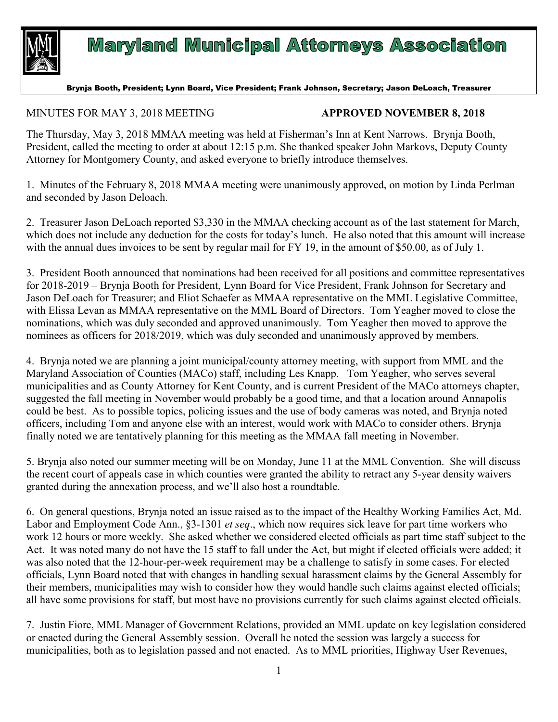

## **Maryland Municipal Attorneys Association**

## Brynja Booth, President; Lynn Board, Vice President; Frank Johnson, Secretary; Jason DeLoach, Treasurer

## MINUTES FOR MAY 3, 2018 MEETING **APPROVED NOVEMBER 8, 2018**

The Thursday, May 3, 2018 MMAA meeting was held at Fisherman's Inn at Kent Narrows. Brynja Booth, President, called the meeting to order at about 12:15 p.m. She thanked speaker John Markovs, Deputy County Attorney for Montgomery County, and asked everyone to briefly introduce themselves.

1. Minutes of the February 8, 2018 MMAA meeting were unanimously approved, on motion by Linda Perlman and seconded by Jason Deloach.

2. Treasurer Jason DeLoach reported \$3,330 in the MMAA checking account as of the last statement for March, which does not include any deduction for the costs for today's lunch. He also noted that this amount will increase with the annual dues invoices to be sent by regular mail for FY 19, in the amount of \$50.00, as of July 1.

3. President Booth announced that nominations had been received for all positions and committee representatives for 2018-2019 – Brynja Booth for President, Lynn Board for Vice President, Frank Johnson for Secretary and Jason DeLoach for Treasurer; and Eliot Schaefer as MMAA representative on the MML Legislative Committee, with Elissa Levan as MMAA representative on the MML Board of Directors. Tom Yeagher moved to close the nominations, which was duly seconded and approved unanimously. Tom Yeagher then moved to approve the nominees as officers for 2018/2019, which was duly seconded and unanimously approved by members.

4. Brynja noted we are planning a joint municipal/county attorney meeting, with support from MML and the Maryland Association of Counties (MACo) staff, including Les Knapp. Tom Yeagher, who serves several municipalities and as County Attorney for Kent County, and is current President of the MACo attorneys chapter, suggested the fall meeting in November would probably be a good time, and that a location around Annapolis could be best. As to possible topics, policing issues and the use of body cameras was noted, and Brynja noted officers, including Tom and anyone else with an interest, would work with MACo to consider others. Brynja finally noted we are tentatively planning for this meeting as the MMAA fall meeting in November.

5. Brynja also noted our summer meeting will be on Monday, June 11 at the MML Convention. She will discuss the recent court of appeals case in which counties were granted the ability to retract any 5-year density waivers granted during the annexation process, and we'll also host a roundtable.

6. On general questions, Brynja noted an issue raised as to the impact of the Healthy Working Families Act, Md. Labor and Employment Code Ann., §3-1301 *et seq*., which now requires sick leave for part time workers who work 12 hours or more weekly. She asked whether we considered elected officials as part time staff subject to the Act. It was noted many do not have the 15 staff to fall under the Act, but might if elected officials were added; it was also noted that the 12-hour-per-week requirement may be a challenge to satisfy in some cases. For elected officials, Lynn Board noted that with changes in handling sexual harassment claims by the General Assembly for their members, municipalities may wish to consider how they would handle such claims against elected officials; all have some provisions for staff, but most have no provisions currently for such claims against elected officials.

7. Justin Fiore, MML Manager of Government Relations, provided an MML update on key legislation considered or enacted during the General Assembly session. Overall he noted the session was largely a success for municipalities, both as to legislation passed and not enacted. As to MML priorities, Highway User Revenues,